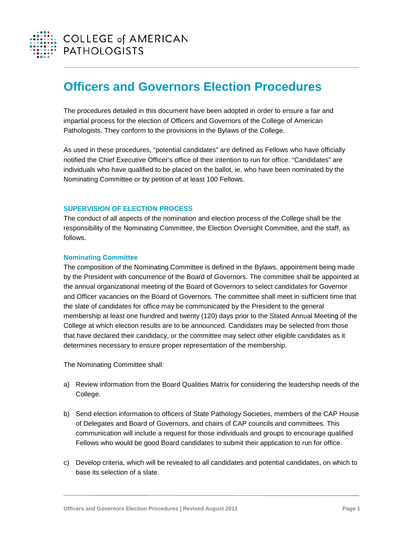

# **Officers and Governors Election Procedures**

The procedures detailed in this document have been adopted in order to ensure a fair and impartial process for the election of Officers and Governors of the College of American Pathologists. They conform to the provisions in the Bylaws of the College.

As used in these procedures, "potential candidates" are defined as Fellows who have officially notified the Chief Executive Officer's office of their intention to run for office. "Candidates" are individuals who have qualified to be placed on the ballot, ie, who have been nominated by the Nominating Committee or by petition of at least 100 Fellows.

## **SUPERVISION OF ELECTION PROCESS**

The conduct of all aspects of the nomination and election process of the College shall be the responsibility of the Nominating Committee, the Election Oversight Committee, and the staff, as follows.

#### **Nominating Committee**

The composition of the Nominating Committee is defined in the Bylaws, appointment being made by the President with concurrence of the Board of Governors. The committee shall be appointed at the annual organizational meeting of the Board of Governors to select candidates for Governor and Officer vacancies on the Board of Governors. The committee shall meet in sufficient time that the slate of candidates for office may be communicated by the President to the general membership at least one hundred and twenty (120) days prior to the Stated Annual Meeting of the College at which election results are to be announced. Candidates may be selected from those that have declared their candidacy, or the committee may select other eligible candidates as it determines necessary to ensure proper representation of the membership.

The Nominating Committee shall:

- a) Review information from the Board Qualities Matrix for considering the leadership needs of the College.
- b) Send election information to officers of State Pathology Societies, members of the CAP House of Delegates and Board of Governors, and chairs of CAP councils and committees. This communication will include a request for those individuals and groups to encourage qualified Fellows who would be good Board candidates to submit their application to run for office.
- c) Develop criteria, which will be revealed to all candidates and potential candidates, on which to base its selection of a slate.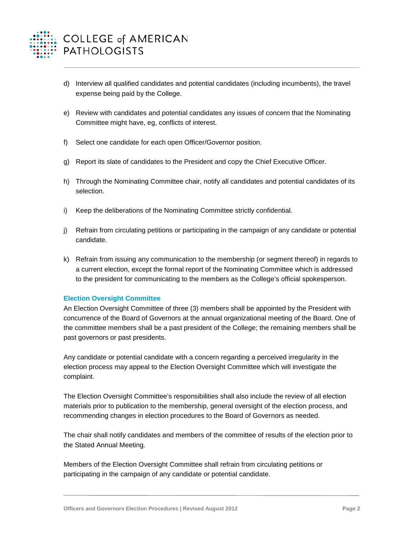

- d) Interview all qualified candidates and potential candidates (including incumbents), the travel expense being paid by the College.
- e) Review with candidates and potential candidates any issues of concern that the Nominating Committee might have, eg, conflicts of interest.
- f) Select one candidate for each open Officer/Governor position.
- g) Report its slate of candidates to the President and copy the Chief Executive Officer.
- h) Through the Nominating Committee chair, notify all candidates and potential candidates of its selection.
- i) Keep the deliberations of the Nominating Committee strictly confidential.
- j) Refrain from circulating petitions or participating in the campaign of any candidate or potential candidate.
- k) Refrain from issuing any communication to the membership (or segment thereof) in regards to a current election, except the formal report of the Nominating Committee which is addressed to the president for communicating to the members as the College's official spokesperson.

## **Election Oversight Committee**

An Election Oversight Committee of three (3) members shall be appointed by the President with concurrence of the Board of Governors at the annual organizational meeting of the Board. One of the committee members shall be a past president of the College; the remaining members shall be past governors or past presidents.

Any candidate or potential candidate with a concern regarding a perceived irregularity in the election process may appeal to the Election Oversight Committee which will investigate the complaint.

The Election Oversight Committee's responsibilities shall also include the review of all election materials prior to publication to the membership, general oversight of the election process, and recommending changes in election procedures to the Board of Governors as needed.

The chair shall notify candidates and members of the committee of results of the election prior to the Stated Annual Meeting.

Members of the Election Oversight Committee shall refrain from circulating petitions or participating in the campaign of any candidate or potential candidate.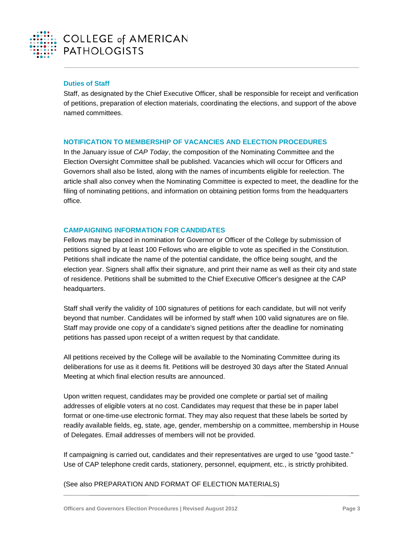

# **Duties of Staff**

Staff, as designated by the Chief Executive Officer, shall be responsible for receipt and verification of petitions, preparation of election materials, coordinating the elections, and support of the above named committees.

# **NOTIFICATION TO MEMBERSHIP OF VACANCIES AND ELECTION PROCEDURES**

In the January issue of *CAP Today*, the composition of the Nominating Committee and the Election Oversight Committee shall be published. Vacancies which will occur for Officers and Governors shall also be listed, along with the names of incumbents eligible for reelection. The article shall also convey when the Nominating Committee is expected to meet, the deadline for the filing of nominating petitions, and information on obtaining petition forms from the headquarters office.

# **CAMPAIGNING INFORMATION FOR CANDIDATES**

Fellows may be placed in nomination for Governor or Officer of the College by submission of petitions signed by at least 100 Fellows who are eligible to vote as specified in the Constitution. Petitions shall indicate the name of the potential candidate, the office being sought, and the election year. Signers shall affix their signature, and print their name as well as their city and state of residence. Petitions shall be submitted to the Chief Executive Officer's designee at the CAP headquarters.

Staff shall verify the validity of 100 signatures of petitions for each candidate, but will not verify beyond that number. Candidates will be informed by staff when 100 valid signatures are on file. Staff may provide one copy of a candidate's signed petitions after the deadline for nominating petitions has passed upon receipt of a written request by that candidate.

All petitions received by the College will be available to the Nominating Committee during its deliberations for use as it deems fit. Petitions will be destroyed 30 days after the Stated Annual Meeting at which final election results are announced.

Upon written request, candidates may be provided one complete or partial set of mailing addresses of eligible voters at no cost. Candidates may request that these be in paper label format or one-time-use electronic format. They may also request that these labels be sorted by readily available fields, eg, state, age, gender, membership on a committee, membership in House of Delegates. Email addresses of members will not be provided.

If campaigning is carried out, candidates and their representatives are urged to use "good taste." Use of CAP telephone credit cards, stationery, personnel, equipment, etc., is strictly prohibited.

# (See also PREPARATION AND FORMAT OF ELECTION MATERIALS)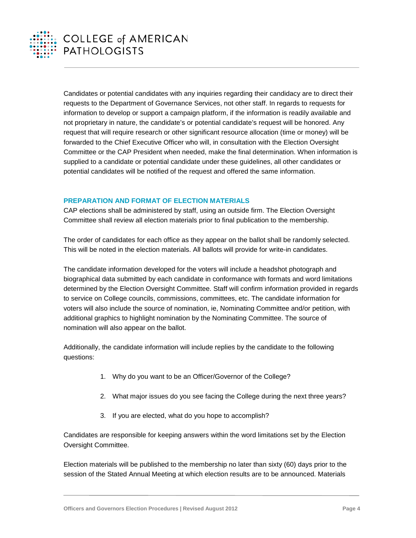

Candidates or potential candidates with any inquiries regarding their candidacy are to direct their requests to the Department of Governance Services, not other staff. In regards to requests for information to develop or support a campaign platform, if the information is readily available and not proprietary in nature, the candidate's or potential candidate's request will be honored. Any request that will require research or other significant resource allocation (time or money) will be forwarded to the Chief Executive Officer who will, in consultation with the Election Oversight Committee or the CAP President when needed, make the final determination. When information is supplied to a candidate or potential candidate under these guidelines, all other candidates or potential candidates will be notified of the request and offered the same information.

# **PREPARATION AND FORMAT OF ELECTION MATERIALS**

CAP elections shall be administered by staff, using an outside firm. The Election Oversight Committee shall review all election materials prior to final publication to the membership.

The order of candidates for each office as they appear on the ballot shall be randomly selected. This will be noted in the election materials. All ballots will provide for write-in candidates.

The candidate information developed for the voters will include a headshot photograph and biographical data submitted by each candidate in conformance with formats and word limitations determined by the Election Oversight Committee. Staff will confirm information provided in regards to service on College councils, commissions, committees, etc. The candidate information for voters will also include the source of nomination, ie, Nominating Committee and/or petition, with additional graphics to highlight nomination by the Nominating Committee. The source of nomination will also appear on the ballot.

Additionally, the candidate information will include replies by the candidate to the following questions:

- 1. Why do you want to be an Officer/Governor of the College?
- 2. What major issues do you see facing the College during the next three years?
- 3. If you are elected, what do you hope to accomplish?

Candidates are responsible for keeping answers within the word limitations set by the Election Oversight Committee.

Election materials will be published to the membership no later than sixty (60) days prior to the session of the Stated Annual Meeting at which election results are to be announced. Materials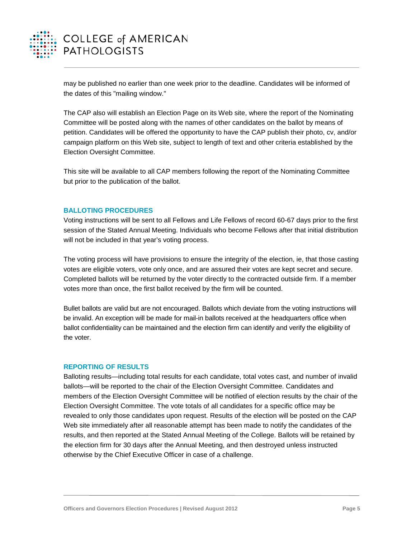

may be published no earlier than one week prior to the deadline. Candidates will be informed of the dates of this "mailing window."

The CAP also will establish an Election Page on its Web site, where the report of the Nominating Committee will be posted along with the names of other candidates on the ballot by means of petition. Candidates will be offered the opportunity to have the CAP publish their photo, cv, and/or campaign platform on this Web site, subject to length of text and other criteria established by the Election Oversight Committee.

This site will be available to all CAP members following the report of the Nominating Committee but prior to the publication of the ballot.

## **BALLOTING PROCEDURES**

Voting instructions will be sent to all Fellows and Life Fellows of record 60-67 days prior to the first session of the Stated Annual Meeting. Individuals who become Fellows after that initial distribution will not be included in that year's voting process.

The voting process will have provisions to ensure the integrity of the election, ie, that those casting votes are eligible voters, vote only once, and are assured their votes are kept secret and secure. Completed ballots will be returned by the voter directly to the contracted outside firm. If a member votes more than once, the first ballot received by the firm will be counted.

Bullet ballots are valid but are not encouraged. Ballots which deviate from the voting instructions will be invalid. An exception will be made for mail-in ballots received at the headquarters office when ballot confidentiality can be maintained and the election firm can identify and verify the eligibility of the voter.

## **REPORTING OF RESULTS**

Balloting results—including total results for each candidate, total votes cast, and number of invalid ballots—will be reported to the chair of the Election Oversight Committee. Candidates and members of the Election Oversight Committee will be notified of election results by the chair of the Election Oversight Committee. The vote totals of all candidates for a specific office may be revealed to only those candidates upon request. Results of the election will be posted on the CAP Web site immediately after all reasonable attempt has been made to notify the candidates of the results, and then reported at the Stated Annual Meeting of the College. Ballots will be retained by the election firm for 30 days after the Annual Meeting, and then destroyed unless instructed otherwise by the Chief Executive Officer in case of a challenge.